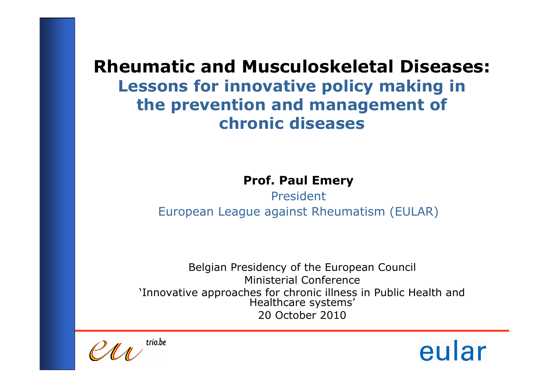Prof. Paul Emery

PresidentEuropean League against Rheumatism (EULAR)

Belgian Presidency of the European CouncilMinisterial Conference 'Innovative approaches for chronic illness in Public Health and Healthcare systems'20 October 2010

trío.be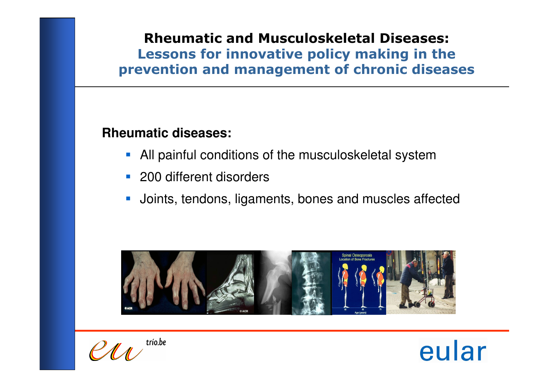#### **Rheumatic diseases:**

- All painful conditions of the musculoskeletal system
- **200 different disorders**
- $\mathcal{L}_{\mathcal{A}}$ Joints, tendons, ligaments, bones and muscles affected



trio.be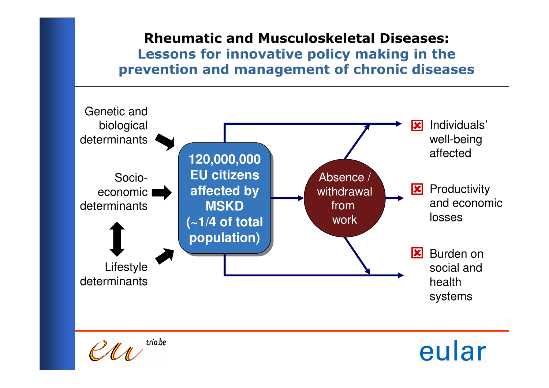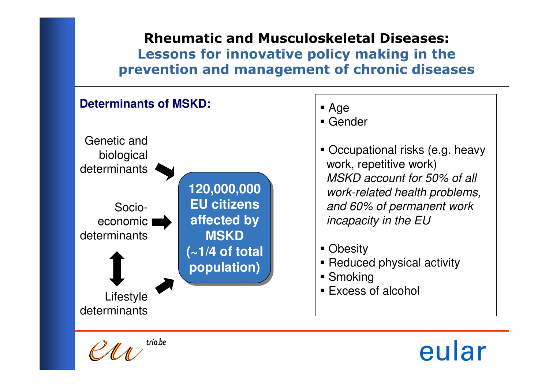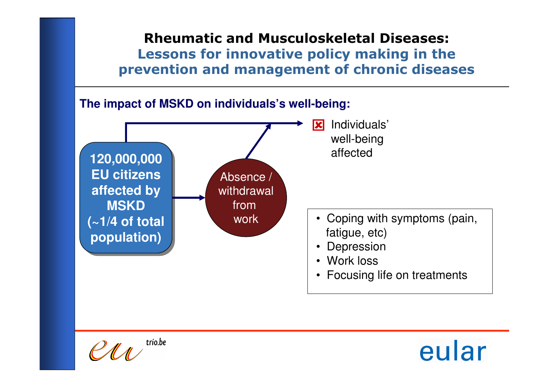

trío.be

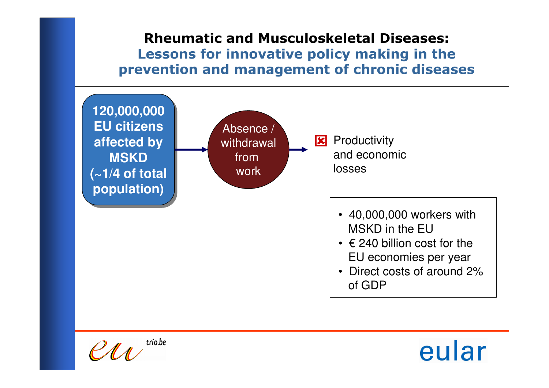

trío.be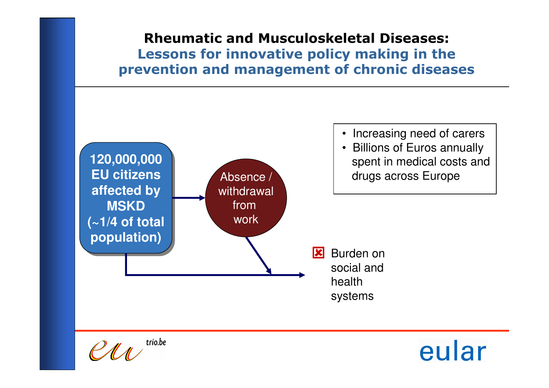

trío.be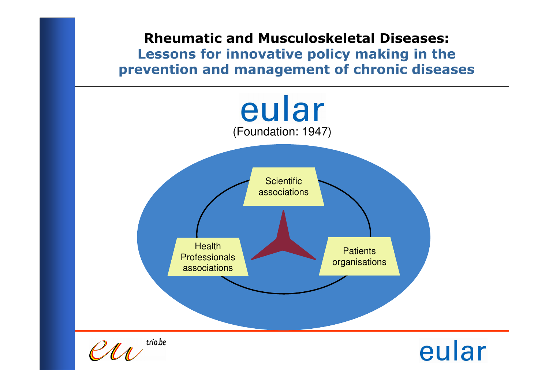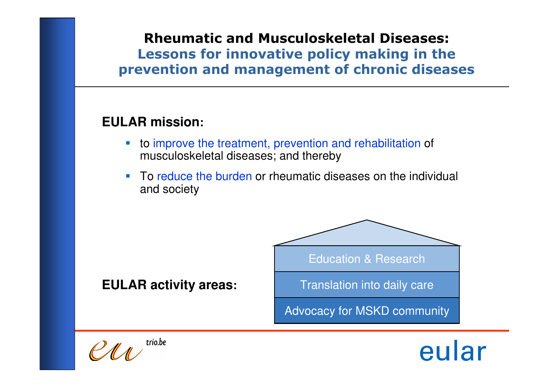#### **EULAR mission:**

- to improve the treatment, prevention and rehabilitation of musculoskeletal diseases; and thereby
- **I**  To reduce the burden or rheumatic diseases on the individual and society



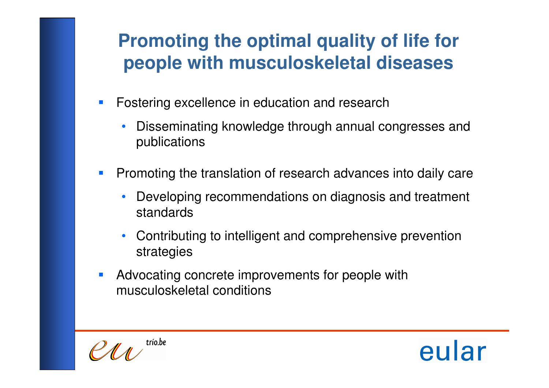# **Promoting the optimal quality of life for people with musculoskeletal diseases**

- $\mathbb{R}^3$  Fostering excellence in education and research
	- • Disseminating knowledge through annual congresses and publications
- $\mathcal{L}_{\mathcal{A}}$  Promoting the translation of research advances into daily care
	- • Developing recommendations on diagnosis and treatment standards
	- • Contributing to intelligent and comprehensive prevention strategies
- $\mathcal{L}_{\mathcal{A}}$  Advocating concrete improvements for people with musculoskeletal conditions



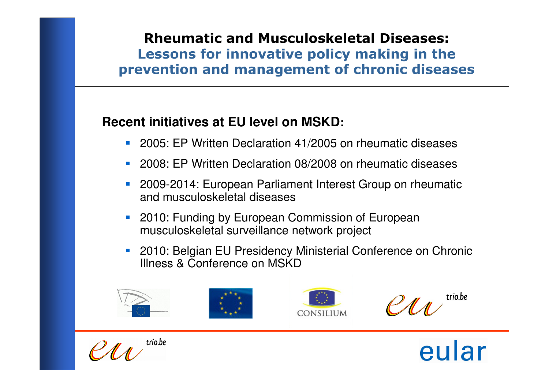# **Recent initiatives at EU level on MSKD:**

- 2005: EP Written Declaration 41/2005 on rheumatic diseases
- 2008: EP Written Declaration 08/2008 on rheumatic diseases
- **2009-2014: European Parliament Interest Group on rheumatic** and musculoskeletal diseases
- **2010: Funding by European Commission of European** musculoskeletal surveillance network project
- **2010: Belgian EU Presidency Ministerial Conference on Chronic** Illness & Conference on MSKD



trío.be

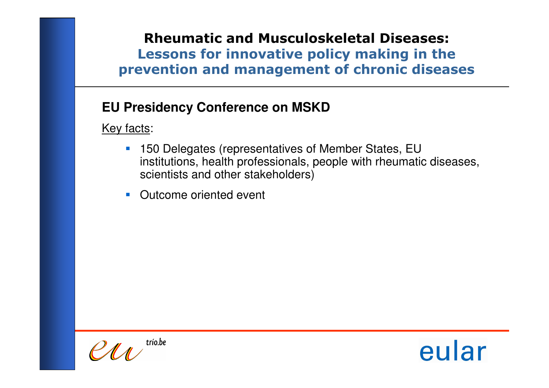# **EU Presidency Conference on MSKD**

Key facts:

- **150 Delegates (representatives of Member States, EU**  institutions, health professionals, people with rheumatic diseases, scientists and other stakeholders)
- **Outcome oriented event**

 $PMA$ <sup>trio.be</sup>

eular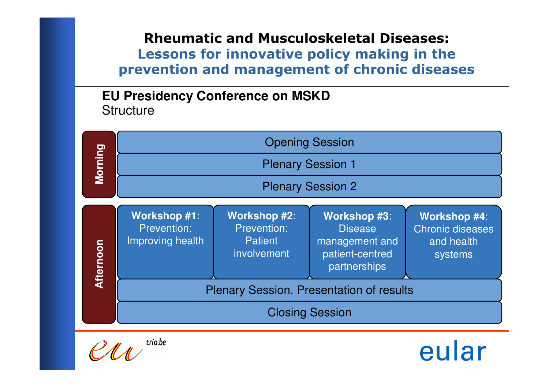#### **EU Presidency Conference on MSKDStructure**



trío.be

eular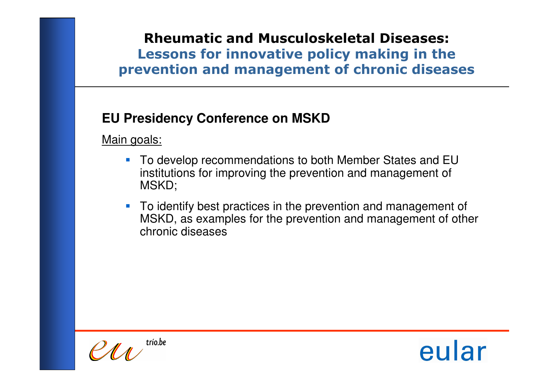# **EU Presidency Conference on MSKD**

Main goals:

- To develop recommendations to both Member States and EU institutions for improving the prevention and management of MSKD;
- To identify best practices in the prevention and management of MSKD, as examples for the prevention and management of other chronic diseases

trio.be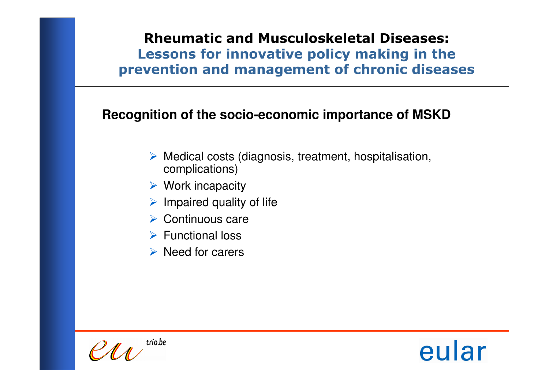#### **Recognition of the socio-economic importance of MSKD**

- > Medical costs (diagnosis, treatment, hospitalisation,<br>
complications) complications)
- **► Work incapacity**
- $\triangleright$  Impaired quality of life
- > Continuous care
- **► Functional loss**
- $\triangleright$  Need for carers

trío.be

eular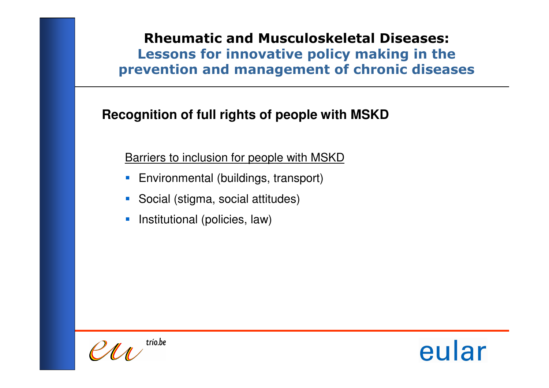# **Recognition of full rights of people with MSKD**

Barriers to inclusion for people with MSKD

- **Environmental (buildings, transport)**
- Social (stigma, social attitudes)
- $\mathcal{L}_{\mathcal{A}}$ Institutional (policies, law)

trío.be

eular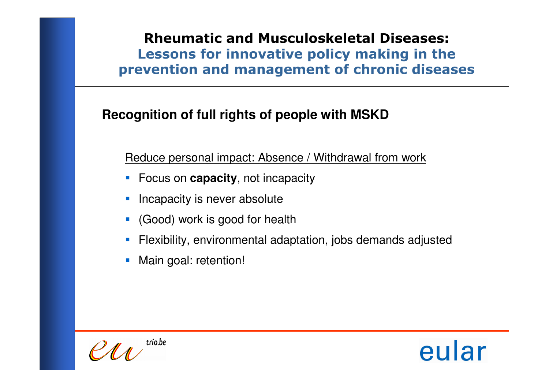# **Recognition of full rights of people with MSKD**

Reduce personal impact: Absence / Withdrawal from work

- Focus on **capacity**, not incapacity
- **Incapacity is never absolute**
- (Good) work is good for health
- Flexibility, environmental adaptation, jobs demands adjusted
- П Main goal: retention!

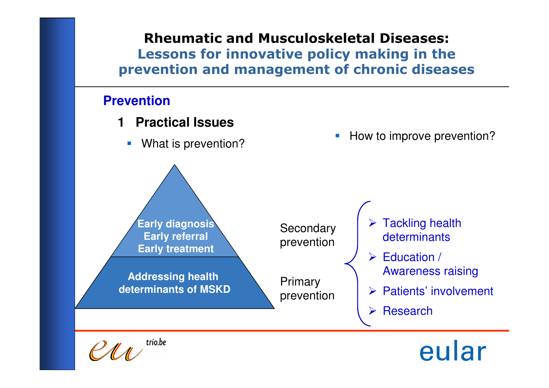#### **Prevention**

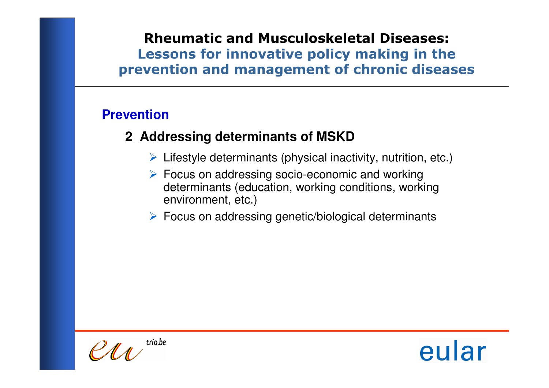#### **Prevention**

# **2 Addressing determinants of MSKD**

- > Lifestyle determinants (physical inactivity, nutrition, etc.)
- ► Focus on addressing socio-economic and working<br>determinants (education, working conditions, worki determinants (education, working conditions, working environment, etc.)
- Focus on addressing genetic/biological determinants

trío.be

eular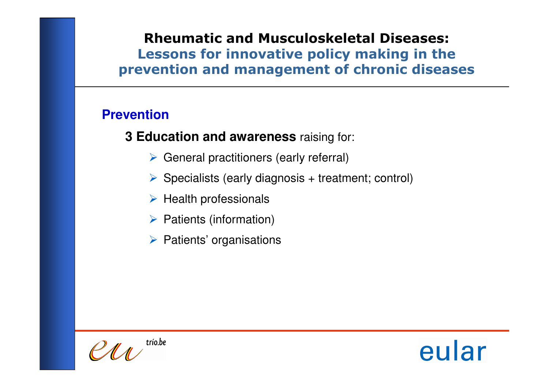# **Prevention**

**3 Education and awareness** raising for:

- General practitioners (early referral)
- Specialists (early diagnosis + treatment; control)
- $\triangleright$  Health professionals
- ▶ Patients (information)
- $\triangleright$  Patients' organisations



eular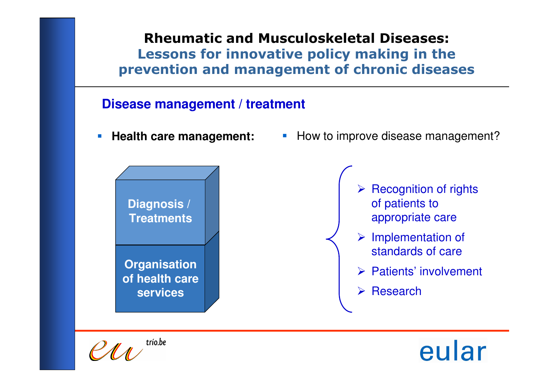#### **Disease management / treatment**

 $\mathcal{L}_{\mathcal{A}}$ **Health care management:**



 $\mathcal{L}_{\mathcal{A}}$ How to improve disease management?



- > Implementation of standards of care
- > Patients' involvement
- **E** Research

trío.be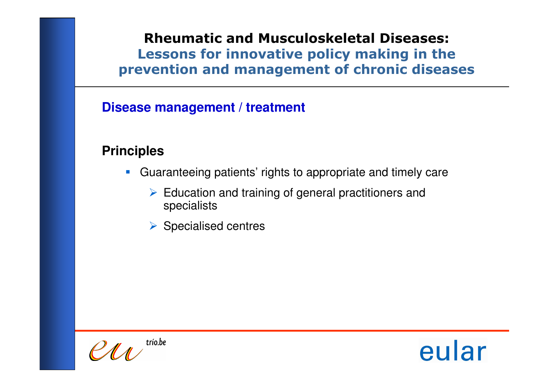# **Disease management / treatment**

## **Principles**

- Guaranteeing patients' rights to appropriate and timely care
	- Education and training of general practitioners and<br>specialists specialists
	- ▶ Specialised centres



eular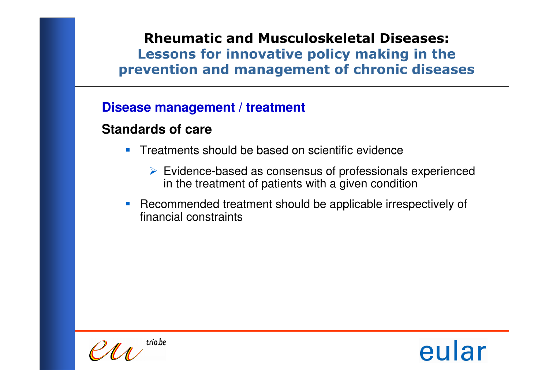#### **Disease management / treatment**

## **Standards of care**

- **Treatments should be based on scientific evidence** 
	- $\triangleright$  Evidence-based as consensus of professionals experienced<br>in the trastment of patients with a given condition in the treatment of patients with a given condition
- **Recommended treatment should be applicable irrespectively of** financial constraints

trío.be

eular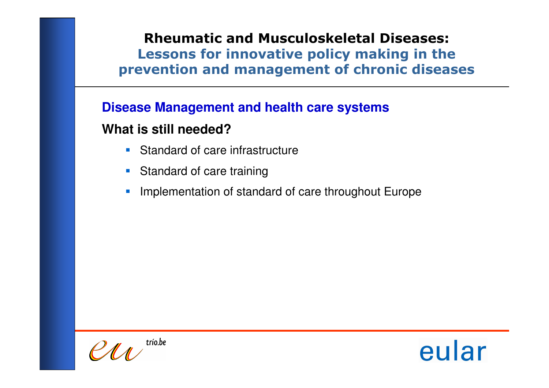#### **Disease Management and health care systems**

#### **What is still needed?**

- **Standard of care infrastructure**
- **Standard of care training**
- $\mathcal{L}_{\mathcal{A}}$ **Implementation of standard of care throughout Europe**

 $PMA$ <sup>trio.be</sup>

eular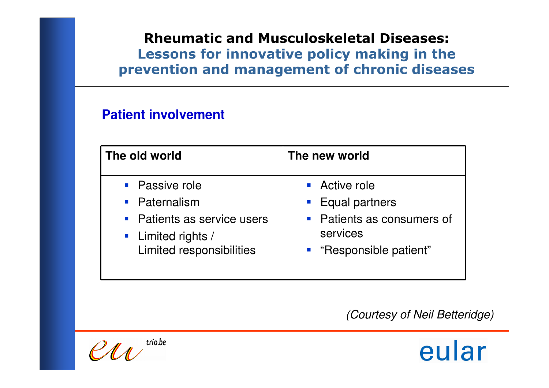#### **Patient involvement**

| The old world               | The new world              |
|-----------------------------|----------------------------|
| • Passive role              | • Active role              |
| • Paternalism               | Equal partners             |
| • Patients as service users | • Patients as consumers of |
| • Limited rights /          | services                   |
| Limited responsibilities    | " "Responsible patient"    |

(Courtesy of Neil Betteridge)

trío.be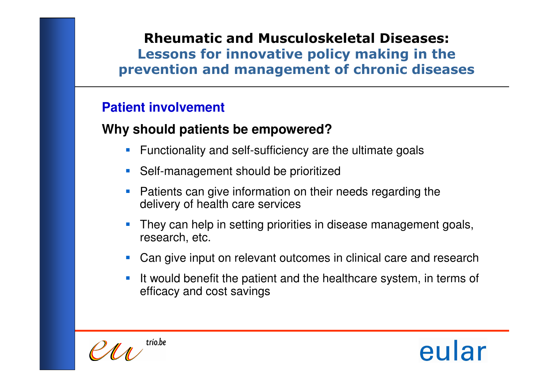# **Patient involvement**

# **Why should patients be empowered?**

- **Functionality and self-sufficiency are the ultimate goals**
- **Self-management should be prioritized**
- $\mathcal{L}_{\mathcal{A}}$  Patients can give information on their needs regarding the delivery of health care services
- П They can help in setting priorities in disease management goals, research, etc.
- **Can give input on relevant outcomes in clinical care and research**
- П It would benefit the patient and the healthcare system, in terms of efficacy and cost savings

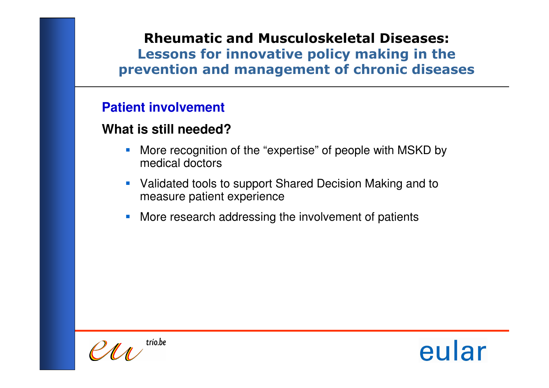#### **Patient involvement**

#### **What is still needed?**

- **More recognition of the "expertise" of people with MSKD by** medical doctors
- **Validated tools to support Shared Decision Making and to** measure patient experience
- $\mathcal{L}_{\mathcal{A}}$ **• More research addressing the involvement of patients**

trío.be

eular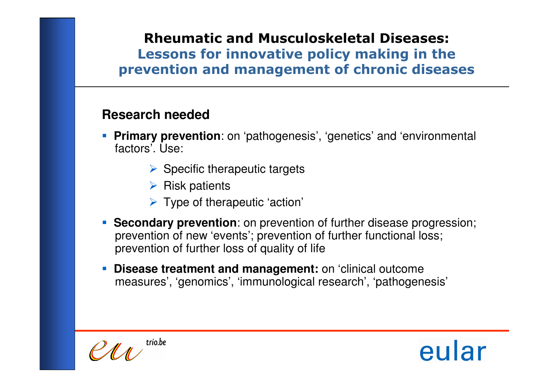## **Research needed**

- **Primary prevention**: on 'pathogenesis', 'genetics' and 'environmental factors'. Use:
	- Specific therapeutic targets
	- > Risk patients
	- > Type of therapeutic 'action'
- **Secondary prevention**: on prevention of further disease progression; prevention of new 'events'; prevention of further functional loss;prevention of further loss of quality of life
- П **Disease treatment and management:** on 'clinical outcomemeasures', 'genomics', 'immunological research', 'pathogenesis'



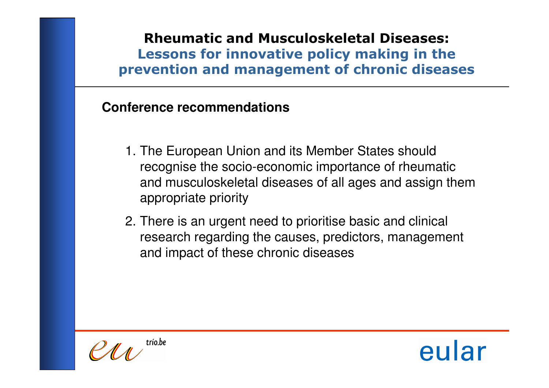## **Conference recommendations**

- 1. The European Union and its Member States should recognise the socio-economic importance of rheumatic and musculoskeletal diseases of all ages and assign them appropriate priority
- 2. There is an urgent need to prioritise basic and clinical research regarding the causes, predictors, management and impact of these chronic diseases

trío.be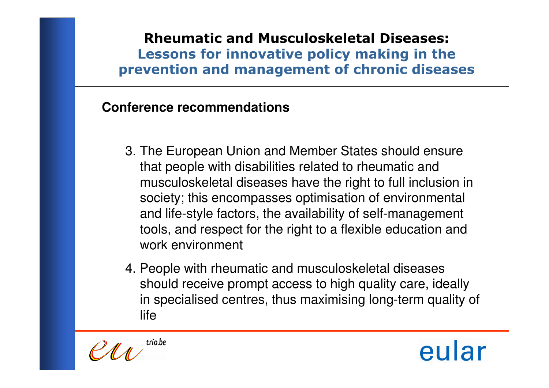# **Conference recommendations**

- 3. The European Union and Member States should ensure that people with disabilities related to rheumatic and musculoskeletal diseases have the right to full inclusion in society; this encompasses optimisation of environmental and life-style factors, the availability of self-management tools, and respect for the right to a flexible education and work environment
- 4. People with rheumatic and musculoskeletal diseases should receive prompt access to high quality care, ideally in specialised centres, thus maximising long-term quality of life

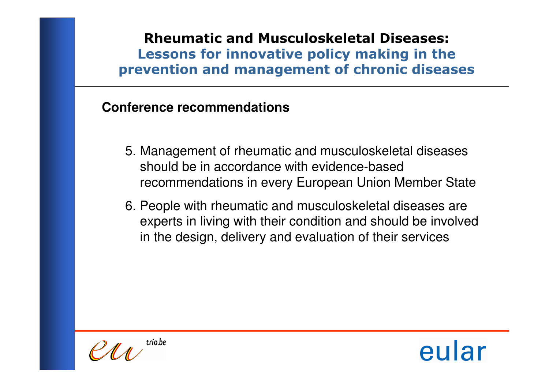## **Conference recommendations**

- 5. Management of rheumatic and musculoskeletal diseases should be in accordance with evidence-based recommendations in every European Union Member State
- 6. People with rheumatic and musculoskeletal diseases are experts in living with their condition and should be involved in the design, delivery and evaluation of their services

trío.be